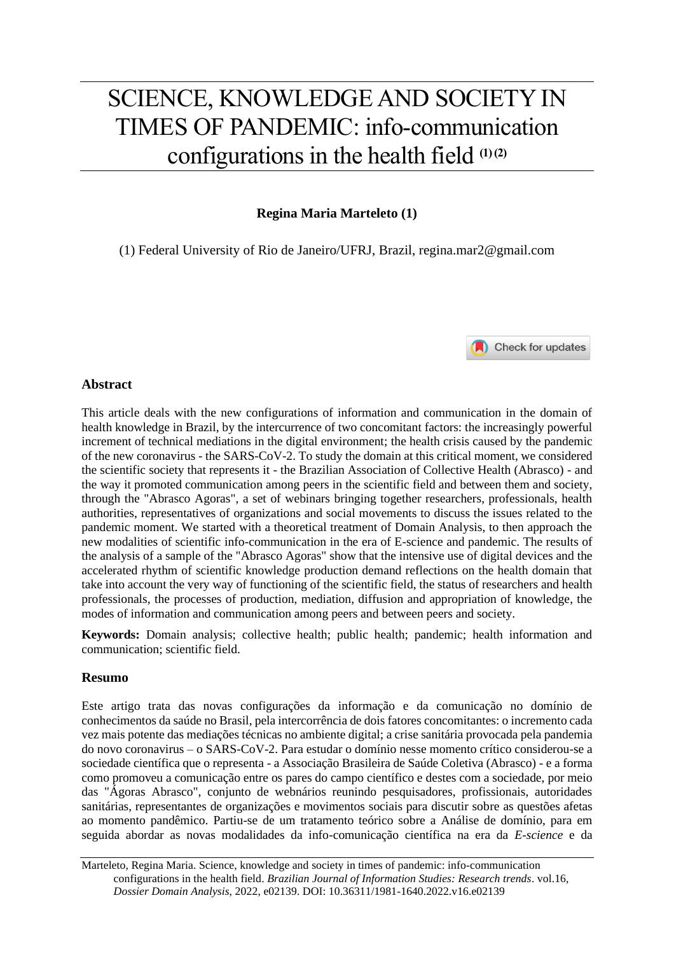# SCIENCE, KNOWLEDGE AND SOCIETY IN TIMES OF PANDEMIC: info-communication configurations in the health field **(1) (2)**

# **Regina Maria Marteleto (1)**

(1) Federal University of Rio de Janeiro/UFRJ, Brazil, regina.mar2@gmail.com



### **Abstract**

This article deals with the new configurations of information and communication in the domain of health knowledge in Brazil, by the intercurrence of two concomitant factors: the increasingly powerful increment of technical mediations in the digital environment; the health crisis caused by the pandemic of the new coronavirus - the SARS-CoV-2. To study the domain at this critical moment, we considered the scientific society that represents it - the Brazilian Association of Collective Health (Abrasco) - and the way it promoted communication among peers in the scientific field and between them and society, through the "Abrasco Agoras", a set of webinars bringing together researchers, professionals, health authorities, representatives of organizations and social movements to discuss the issues related to the pandemic moment. We started with a theoretical treatment of Domain Analysis, to then approach the new modalities of scientific info-communication in the era of E-science and pandemic. The results of the analysis of a sample of the "Abrasco Agoras" show that the intensive use of digital devices and the accelerated rhythm of scientific knowledge production demand reflections on the health domain that take into account the very way of functioning of the scientific field, the status of researchers and health professionals, the processes of production, mediation, diffusion and appropriation of knowledge, the modes of information and communication among peers and between peers and society.

**Keywords:** Domain analysis; collective health; public health; pandemic; health information and communication; scientific field.

## **Resumo**

Este artigo trata das novas configurações da informação e da comunicação no domínio de conhecimentos da saúde no Brasil, pela intercorrência de dois fatores concomitantes: o incremento cada vez mais potente das mediações técnicas no ambiente digital; a crise sanitária provocada pela pandemia do novo coronavirus – o SARS-CoV-2. Para estudar o domínio nesse momento crítico considerou-se a sociedade científica que o representa - a Associação Brasileira de Saúde Coletiva (Abrasco) - e a forma como promoveu a comunicação entre os pares do campo científico e destes com a sociedade, por meio das "Ágoras Abrasco", conjunto de webnários reunindo pesquisadores, profissionais, autoridades sanitárias, representantes de organizações e movimentos sociais para discutir sobre as questões afetas ao momento pandêmico. Partiu-se de um tratamento teórico sobre a Análise de domínio, para em seguida abordar as novas modalidades da info-comunicação científica na era da *E-science* e da

Marteleto, Regina Maria. Science, knowledge and society in times of pandemic: info-communication configurations in the health field. *Brazilian Journal of Information Studies: Research trends*. vol.16, *Dossier Domain Analysis*, 2022, e02139. DOI: 10.36311/1981-1640.2022.v16.e02139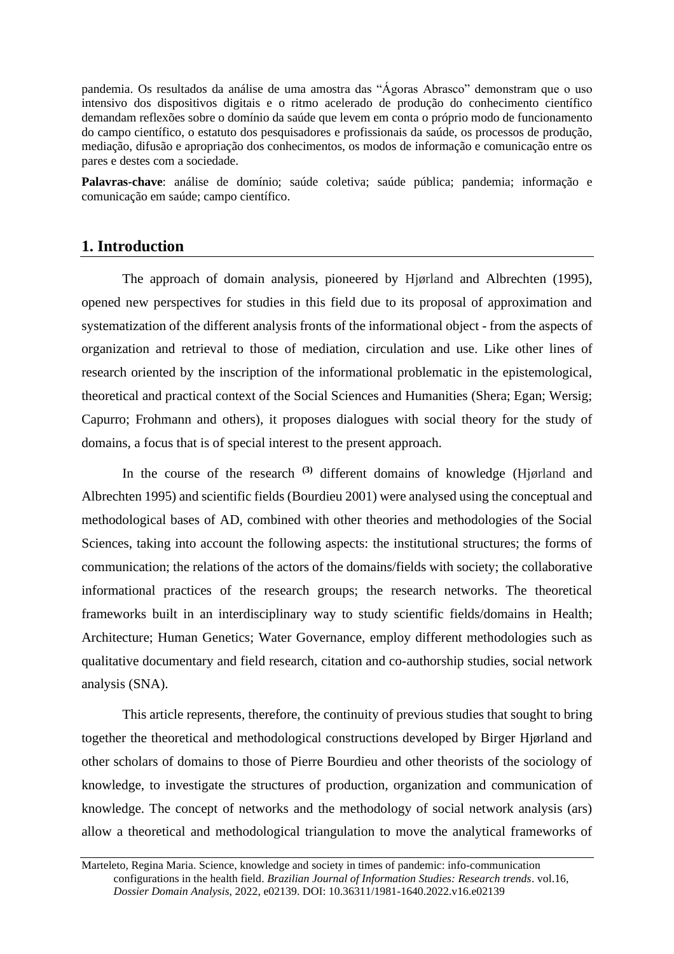pandemia. Os resultados da análise de uma amostra das "Ágoras Abrasco" demonstram que o uso intensivo dos dispositivos digitais e o ritmo acelerado de produção do conhecimento científico demandam reflexões sobre o domínio da saúde que levem em conta o próprio modo de funcionamento do campo científico, o estatuto dos pesquisadores e profissionais da saúde, os processos de produção, mediação, difusão e apropriação dos conhecimentos, os modos de informação e comunicação entre os pares e destes com a sociedade.

**Palavras-chave**: análise de domínio; saúde coletiva; saúde pública; pandemia; informação e comunicação em saúde; campo científico.

# **1. Introduction**

The approach of domain analysis, pioneered by Hjørland and Albrechten (1995), opened new perspectives for studies in this field due to its proposal of approximation and systematization of the different analysis fronts of the informational object - from the aspects of organization and retrieval to those of mediation, circulation and use. Like other lines of research oriented by the inscription of the informational problematic in the epistemological, theoretical and practical context of the Social Sciences and Humanities (Shera; Egan; Wersig; Capurro; Frohmann and others), it proposes dialogues with social theory for the study of domains, a focus that is of special interest to the present approach.

In the course of the research **(3)** different domains of knowledge (Hjørland and Albrechten 1995) and scientific fields (Bourdieu 2001) were analysed using the conceptual and methodological bases of AD, combined with other theories and methodologies of the Social Sciences, taking into account the following aspects: the institutional structures; the forms of communication; the relations of the actors of the domains/fields with society; the collaborative informational practices of the research groups; the research networks. The theoretical frameworks built in an interdisciplinary way to study scientific fields/domains in Health; Architecture; Human Genetics; Water Governance, employ different methodologies such as qualitative documentary and field research, citation and co-authorship studies, social network analysis (SNA).

This article represents, therefore, the continuity of previous studies that sought to bring together the theoretical and methodological constructions developed by Birger Hjørland and other scholars of domains to those of Pierre Bourdieu and other theorists of the sociology of knowledge, to investigate the structures of production, organization and communication of knowledge. The concept of networks and the methodology of social network analysis (ars) allow a theoretical and methodological triangulation to move the analytical frameworks of

Marteleto, Regina Maria. Science, knowledge and society in times of pandemic: info-communication configurations in the health field. *Brazilian Journal of Information Studies: Research trends*. vol.16, *Dossier Domain Analysis*, 2022, e02139. DOI: 10.36311/1981-1640.2022.v16.e02139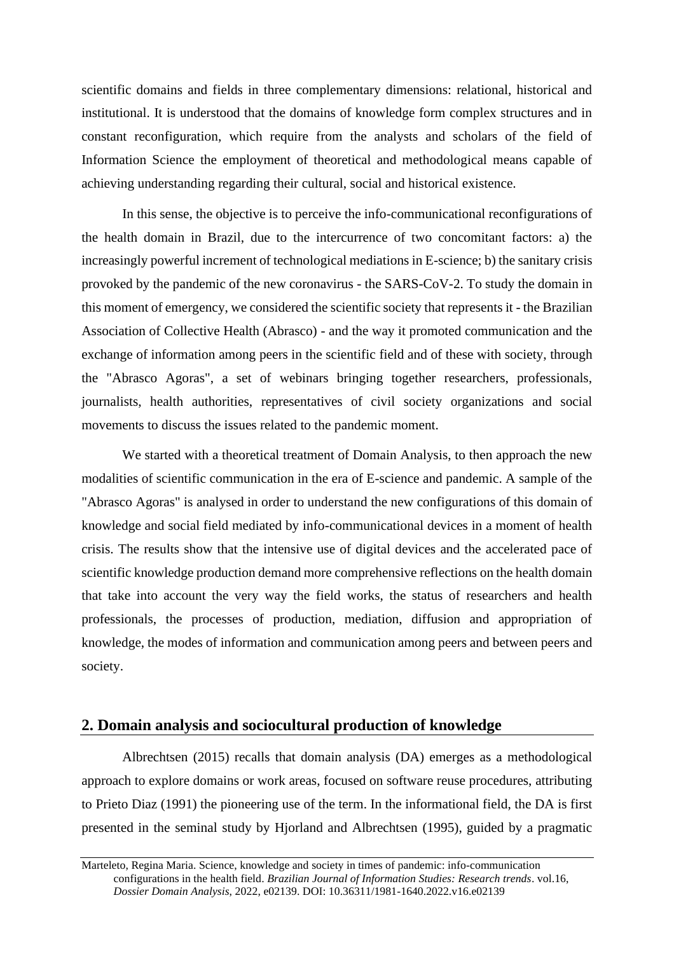scientific domains and fields in three complementary dimensions: relational, historical and institutional. It is understood that the domains of knowledge form complex structures and in constant reconfiguration, which require from the analysts and scholars of the field of Information Science the employment of theoretical and methodological means capable of achieving understanding regarding their cultural, social and historical existence.

In this sense, the objective is to perceive the info-communicational reconfigurations of the health domain in Brazil, due to the intercurrence of two concomitant factors: a) the increasingly powerful increment of technological mediations in E-science; b) the sanitary crisis provoked by the pandemic of the new coronavirus - the SARS-CoV-2. To study the domain in this moment of emergency, we considered the scientific society that represents it - the Brazilian Association of Collective Health (Abrasco) - and the way it promoted communication and the exchange of information among peers in the scientific field and of these with society, through the "Abrasco Agoras", a set of webinars bringing together researchers, professionals, journalists, health authorities, representatives of civil society organizations and social movements to discuss the issues related to the pandemic moment.

We started with a theoretical treatment of Domain Analysis, to then approach the new modalities of scientific communication in the era of E-science and pandemic. A sample of the "Abrasco Agoras" is analysed in order to understand the new configurations of this domain of knowledge and social field mediated by info-communicational devices in a moment of health crisis. The results show that the intensive use of digital devices and the accelerated pace of scientific knowledge production demand more comprehensive reflections on the health domain that take into account the very way the field works, the status of researchers and health professionals, the processes of production, mediation, diffusion and appropriation of knowledge, the modes of information and communication among peers and between peers and society.

# **2. Domain analysis and sociocultural production of knowledge**

Albrechtsen (2015) recalls that domain analysis (DA) emerges as a methodological approach to explore domains or work areas, focused on software reuse procedures, attributing to Prieto Diaz (1991) the pioneering use of the term. In the informational field, the DA is first presented in the seminal study by Hjorland and Albrechtsen (1995), guided by a pragmatic

Marteleto, Regina Maria. Science, knowledge and society in times of pandemic: info-communication configurations in the health field. *Brazilian Journal of Information Studies: Research trends*. vol.16, *Dossier Domain Analysis*, 2022, e02139. DOI: 10.36311/1981-1640.2022.v16.e02139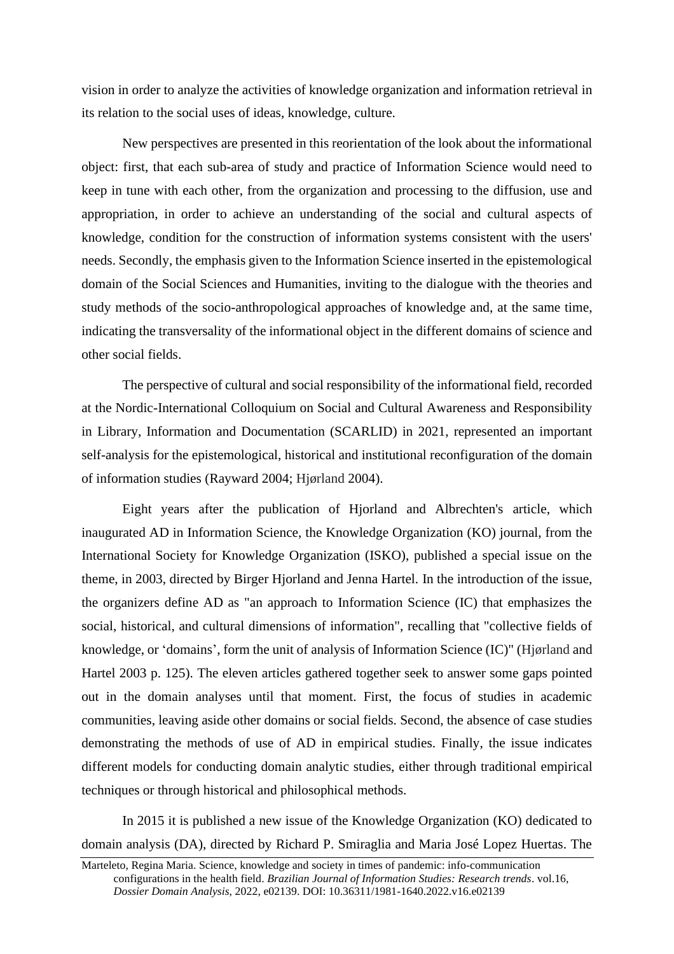vision in order to analyze the activities of knowledge organization and information retrieval in its relation to the social uses of ideas, knowledge, culture.

New perspectives are presented in this reorientation of the look about the informational object: first, that each sub-area of study and practice of Information Science would need to keep in tune with each other, from the organization and processing to the diffusion, use and appropriation, in order to achieve an understanding of the social and cultural aspects of knowledge, condition for the construction of information systems consistent with the users' needs. Secondly, the emphasis given to the Information Science inserted in the epistemological domain of the Social Sciences and Humanities, inviting to the dialogue with the theories and study methods of the socio-anthropological approaches of knowledge and, at the same time, indicating the transversality of the informational object in the different domains of science and other social fields.

The perspective of cultural and social responsibility of the informational field, recorded at the Nordic-International Colloquium on Social and Cultural Awareness and Responsibility in Library, Information and Documentation (SCARLID) in 2021, represented an important self-analysis for the epistemological, historical and institutional reconfiguration of the domain of information studies (Rayward 2004; Hjørland 2004).

Eight years after the publication of Hjorland and Albrechten's article, which inaugurated AD in Information Science, the Knowledge Organization (KO) journal, from the International Society for Knowledge Organization (ISKO), published a special issue on the theme, in 2003, directed by Birger Hjorland and Jenna Hartel. In the introduction of the issue, the organizers define AD as "an approach to Information Science (IC) that emphasizes the social, historical, and cultural dimensions of information", recalling that "collective fields of knowledge, or 'domains', form the unit of analysis of Information Science (IC)" (Hjørland and Hartel 2003 p. 125). The eleven articles gathered together seek to answer some gaps pointed out in the domain analyses until that moment. First, the focus of studies in academic communities, leaving aside other domains or social fields. Second, the absence of case studies demonstrating the methods of use of AD in empirical studies. Finally, the issue indicates different models for conducting domain analytic studies, either through traditional empirical techniques or through historical and philosophical methods.

In 2015 it is published a new issue of the Knowledge Organization (KO) dedicated to domain analysis (DA), directed by Richard P. Smiraglia and Maria José Lopez Huertas. The

Marteleto, Regina Maria. Science, knowledge and society in times of pandemic: info-communication configurations in the health field. *Brazilian Journal of Information Studies: Research trends*. vol.16, *Dossier Domain Analysis*, 2022, e02139. DOI: 10.36311/1981-1640.2022.v16.e02139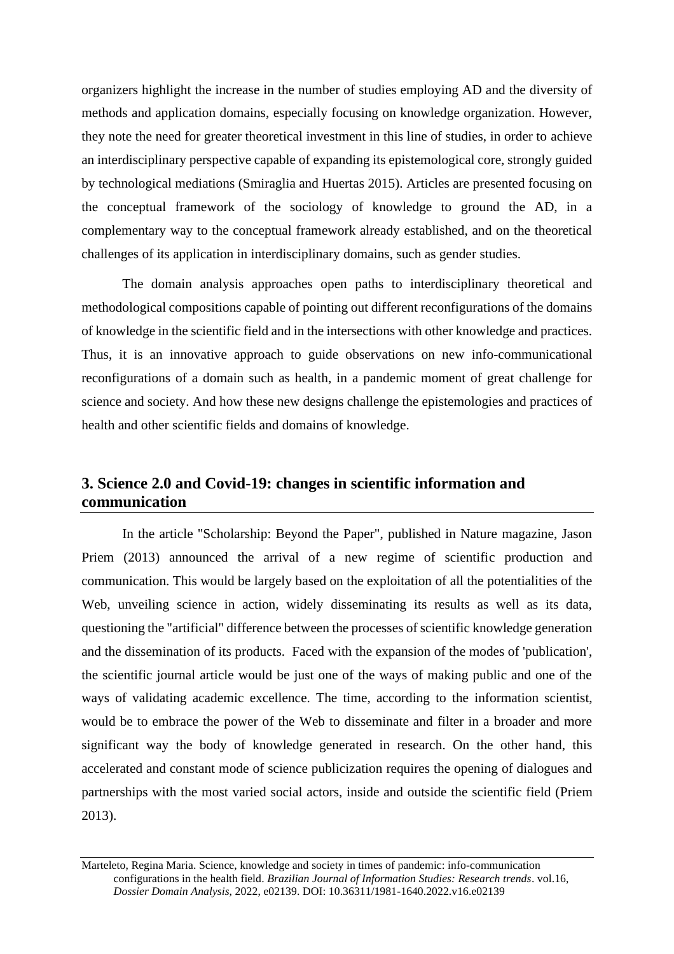organizers highlight the increase in the number of studies employing AD and the diversity of methods and application domains, especially focusing on knowledge organization. However, they note the need for greater theoretical investment in this line of studies, in order to achieve an interdisciplinary perspective capable of expanding its epistemological core, strongly guided by technological mediations (Smiraglia and Huertas 2015). Articles are presented focusing on the conceptual framework of the sociology of knowledge to ground the AD, in a complementary way to the conceptual framework already established, and on the theoretical challenges of its application in interdisciplinary domains, such as gender studies.

The domain analysis approaches open paths to interdisciplinary theoretical and methodological compositions capable of pointing out different reconfigurations of the domains of knowledge in the scientific field and in the intersections with other knowledge and practices. Thus, it is an innovative approach to guide observations on new info-communicational reconfigurations of a domain such as health, in a pandemic moment of great challenge for science and society. And how these new designs challenge the epistemologies and practices of health and other scientific fields and domains of knowledge.

# **3. Science 2.0 and Covid-19: changes in scientific information and communication**

In the article "Scholarship: Beyond the Paper", published in Nature magazine, Jason Priem (2013) announced the arrival of a new regime of scientific production and communication. This would be largely based on the exploitation of all the potentialities of the Web, unveiling science in action, widely disseminating its results as well as its data, questioning the "artificial" difference between the processes of scientific knowledge generation and the dissemination of its products. Faced with the expansion of the modes of 'publication', the scientific journal article would be just one of the ways of making public and one of the ways of validating academic excellence. The time, according to the information scientist, would be to embrace the power of the Web to disseminate and filter in a broader and more significant way the body of knowledge generated in research. On the other hand, this accelerated and constant mode of science publicization requires the opening of dialogues and partnerships with the most varied social actors, inside and outside the scientific field (Priem 2013).

Marteleto, Regina Maria. Science, knowledge and society in times of pandemic: info-communication configurations in the health field. *Brazilian Journal of Information Studies: Research trends*. vol.16, *Dossier Domain Analysis*, 2022, e02139. DOI: 10.36311/1981-1640.2022.v16.e02139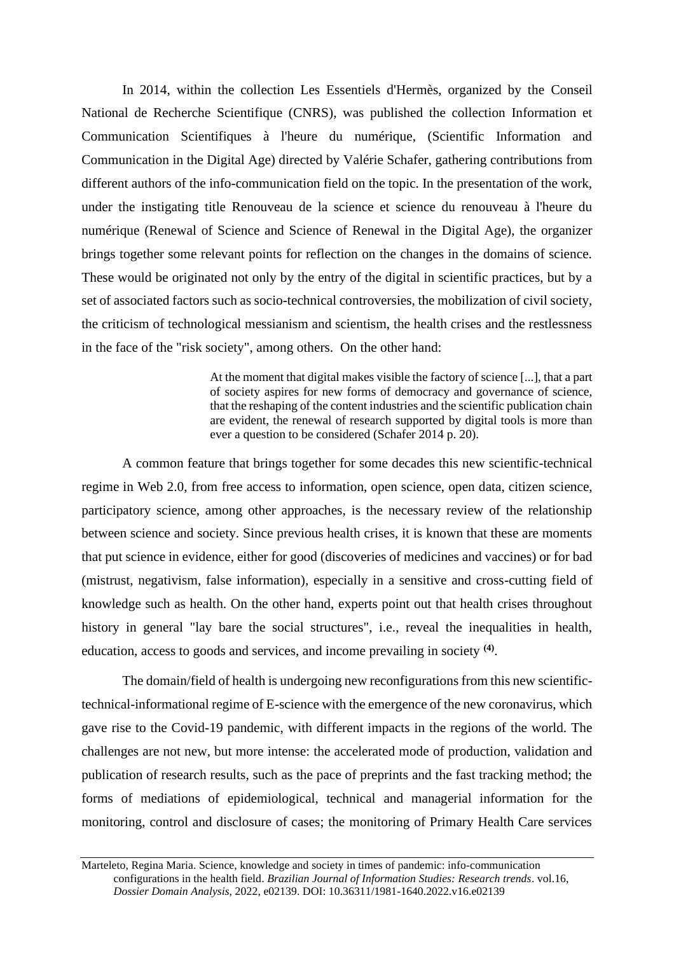In 2014, within the collection Les Essentiels d'Hermès, organized by the Conseil National de Recherche Scientifique (CNRS), was published the collection Information et Communication Scientifiques à l'heure du numérique, (Scientific Information and Communication in the Digital Age) directed by Valérie Schafer, gathering contributions from different authors of the info-communication field on the topic. In the presentation of the work, under the instigating title Renouveau de la science et science du renouveau à l'heure du numérique (Renewal of Science and Science of Renewal in the Digital Age), the organizer brings together some relevant points for reflection on the changes in the domains of science. These would be originated not only by the entry of the digital in scientific practices, but by a set of associated factors such as socio-technical controversies, the mobilization of civil society, the criticism of technological messianism and scientism, the health crises and the restlessness in the face of the "risk society", among others. On the other hand:

> At the moment that digital makes visible the factory of science [...], that a part of society aspires for new forms of democracy and governance of science, that the reshaping of the content industries and the scientific publication chain are evident, the renewal of research supported by digital tools is more than ever a question to be considered (Schafer 2014 p. 20).

A common feature that brings together for some decades this new scientific-technical regime in Web 2.0, from free access to information, open science, open data, citizen science, participatory science, among other approaches, is the necessary review of the relationship between science and society. Since previous health crises, it is known that these are moments that put science in evidence, either for good (discoveries of medicines and vaccines) or for bad (mistrust, negativism, false information), especially in a sensitive and cross-cutting field of knowledge such as health. On the other hand, experts point out that health crises throughout history in general "lay bare the social structures", i.e., reveal the inequalities in health, education, access to goods and services, and income prevailing in society **(4)** .

The domain/field of health is undergoing new reconfigurations from this new scientifictechnical-informational regime of E-science with the emergence of the new coronavirus, which gave rise to the Covid-19 pandemic, with different impacts in the regions of the world. The challenges are not new, but more intense: the accelerated mode of production, validation and publication of research results, such as the pace of preprints and the fast tracking method; the forms of mediations of epidemiological, technical and managerial information for the monitoring, control and disclosure of cases; the monitoring of Primary Health Care services

Marteleto, Regina Maria. Science, knowledge and society in times of pandemic: info-communication configurations in the health field. *Brazilian Journal of Information Studies: Research trends*. vol.16, *Dossier Domain Analysis*, 2022, e02139. DOI: 10.36311/1981-1640.2022.v16.e02139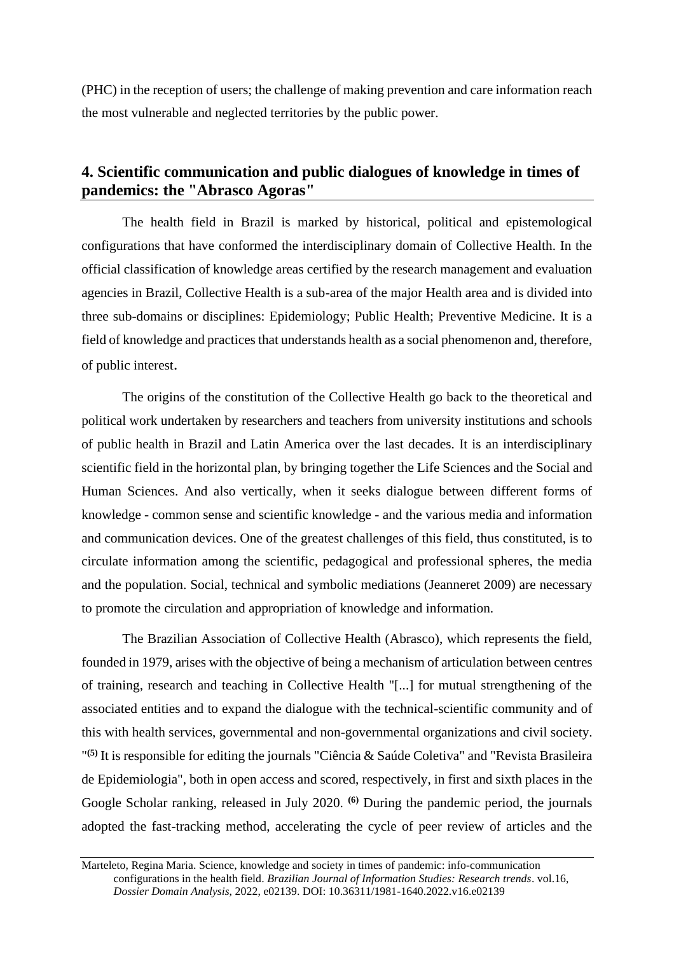(PHC) in the reception of users; the challenge of making prevention and care information reach the most vulnerable and neglected territories by the public power.

# **4. Scientific communication and public dialogues of knowledge in times of pandemics: the "Abrasco Agoras"**

The health field in Brazil is marked by historical, political and epistemological configurations that have conformed the interdisciplinary domain of Collective Health. In the official classification of knowledge areas certified by the research management and evaluation agencies in Brazil, Collective Health is a sub-area of the major Health area and is divided into three sub-domains or disciplines: Epidemiology; Public Health; Preventive Medicine. It is a field of knowledge and practices that understands health as a social phenomenon and, therefore, of public interest.

The origins of the constitution of the Collective Health go back to the theoretical and political work undertaken by researchers and teachers from university institutions and schools of public health in Brazil and Latin America over the last decades. It is an interdisciplinary scientific field in the horizontal plan, by bringing together the Life Sciences and the Social and Human Sciences. And also vertically, when it seeks dialogue between different forms of knowledge - common sense and scientific knowledge - and the various media and information and communication devices. One of the greatest challenges of this field, thus constituted, is to circulate information among the scientific, pedagogical and professional spheres, the media and the population. Social, technical and symbolic mediations (Jeanneret 2009) are necessary to promote the circulation and appropriation of knowledge and information.

The Brazilian Association of Collective Health (Abrasco), which represents the field, founded in 1979, arises with the objective of being a mechanism of articulation between centres of training, research and teaching in Collective Health "[...] for mutual strengthening of the associated entities and to expand the dialogue with the technical-scientific community and of this with health services, governmental and non-governmental organizations and civil society. " **(5)** It is responsible for editing the journals "Ciência & Saúde Coletiva" and "Revista Brasileira de Epidemiologia", both in open access and scored, respectively, in first and sixth places in the Google Scholar ranking, released in July 2020. **(6)** During the pandemic period, the journals adopted the fast-tracking method, accelerating the cycle of peer review of articles and the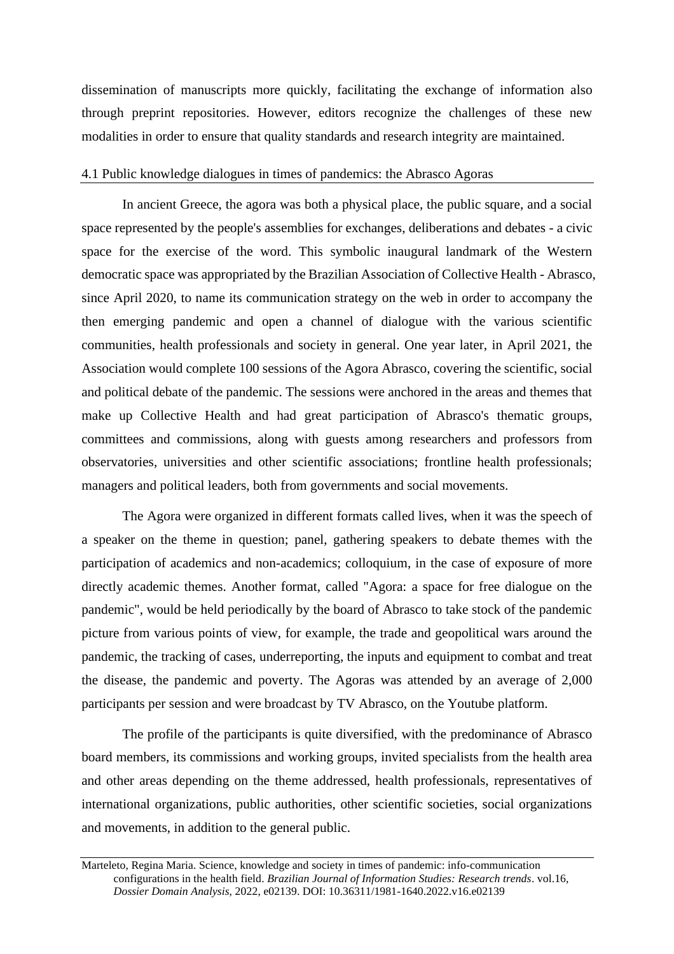dissemination of manuscripts more quickly, facilitating the exchange of information also through preprint repositories. However, editors recognize the challenges of these new modalities in order to ensure that quality standards and research integrity are maintained.

#### 4.1 Public knowledge dialogues in times of pandemics: the Abrasco Agoras

In ancient Greece, the agora was both a physical place, the public square, and a social space represented by the people's assemblies for exchanges, deliberations and debates - a civic space for the exercise of the word. This symbolic inaugural landmark of the Western democratic space was appropriated by the Brazilian Association of Collective Health - Abrasco, since April 2020, to name its communication strategy on the web in order to accompany the then emerging pandemic and open a channel of dialogue with the various scientific communities, health professionals and society in general. One year later, in April 2021, the Association would complete 100 sessions of the Agora Abrasco, covering the scientific, social and political debate of the pandemic. The sessions were anchored in the areas and themes that make up Collective Health and had great participation of Abrasco's thematic groups, committees and commissions, along with guests among researchers and professors from observatories, universities and other scientific associations; frontline health professionals; managers and political leaders, both from governments and social movements.

The Agora were organized in different formats called lives, when it was the speech of a speaker on the theme in question; panel, gathering speakers to debate themes with the participation of academics and non-academics; colloquium, in the case of exposure of more directly academic themes. Another format, called "Agora: a space for free dialogue on the pandemic", would be held periodically by the board of Abrasco to take stock of the pandemic picture from various points of view, for example, the trade and geopolitical wars around the pandemic, the tracking of cases, underreporting, the inputs and equipment to combat and treat the disease, the pandemic and poverty. The Agoras was attended by an average of 2,000 participants per session and were broadcast by TV Abrasco, on the Youtube platform.

The profile of the participants is quite diversified, with the predominance of Abrasco board members, its commissions and working groups, invited specialists from the health area and other areas depending on the theme addressed, health professionals, representatives of international organizations, public authorities, other scientific societies, social organizations and movements, in addition to the general public.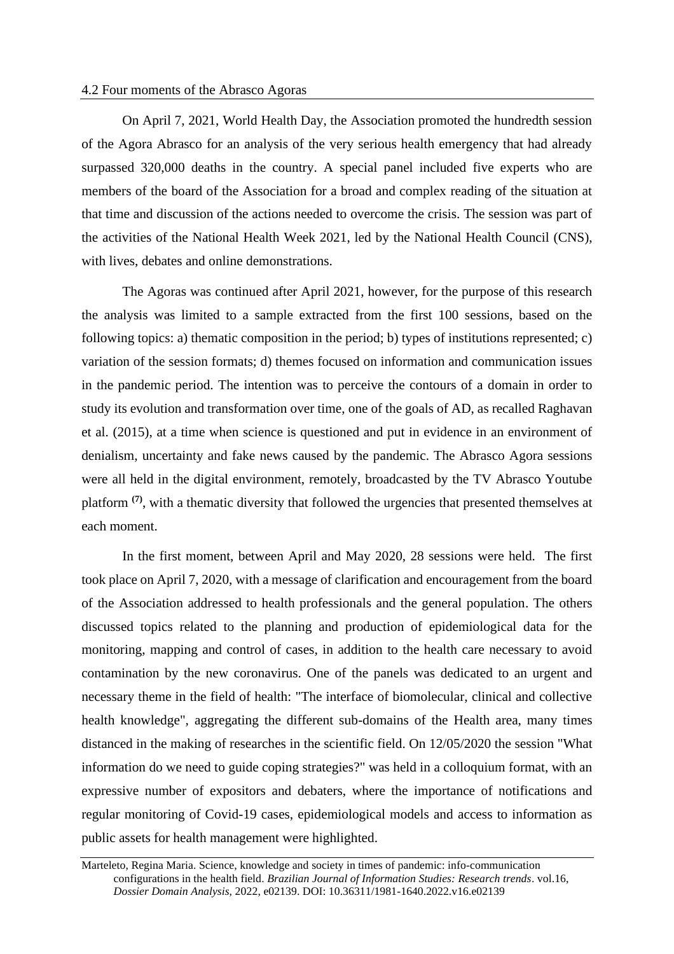#### 4.2 Four moments of the Abrasco Agoras

On April 7, 2021, World Health Day, the Association promoted the hundredth session of the Agora Abrasco for an analysis of the very serious health emergency that had already surpassed 320,000 deaths in the country. A special panel included five experts who are members of the board of the Association for a broad and complex reading of the situation at that time and discussion of the actions needed to overcome the crisis. The session was part of the activities of the National Health Week 2021, led by the National Health Council (CNS), with lives, debates and online demonstrations.

The Agoras was continued after April 2021, however, for the purpose of this research the analysis was limited to a sample extracted from the first 100 sessions, based on the following topics: a) thematic composition in the period; b) types of institutions represented; c) variation of the session formats; d) themes focused on information and communication issues in the pandemic period. The intention was to perceive the contours of a domain in order to study its evolution and transformation over time, one of the goals of AD, as recalled Raghavan et al. (2015), at a time when science is questioned and put in evidence in an environment of denialism, uncertainty and fake news caused by the pandemic. The Abrasco Agora sessions were all held in the digital environment, remotely, broadcasted by the TV Abrasco Youtube platform **(7)**, with a thematic diversity that followed the urgencies that presented themselves at each moment.

In the first moment, between April and May 2020, 28 sessions were held. The first took place on April 7, 2020, with a message of clarification and encouragement from the board of the Association addressed to health professionals and the general population. The others discussed topics related to the planning and production of epidemiological data for the monitoring, mapping and control of cases, in addition to the health care necessary to avoid contamination by the new coronavirus. One of the panels was dedicated to an urgent and necessary theme in the field of health: "The interface of biomolecular, clinical and collective health knowledge", aggregating the different sub-domains of the Health area, many times distanced in the making of researches in the scientific field. On 12/05/2020 the session "What information do we need to guide coping strategies?" was held in a colloquium format, with an expressive number of expositors and debaters, where the importance of notifications and regular monitoring of Covid-19 cases, epidemiological models and access to information as public assets for health management were highlighted.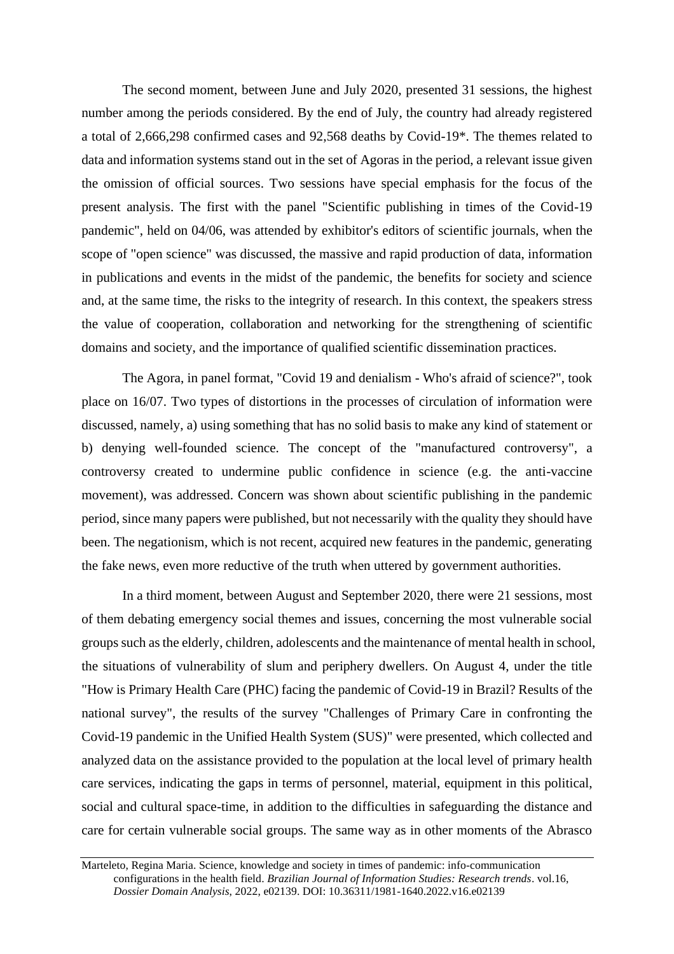The second moment, between June and July 2020, presented 31 sessions, the highest number among the periods considered. By the end of July, the country had already registered a total of 2,666,298 confirmed cases and 92,568 deaths by Covid-19\*. The themes related to data and information systems stand out in the set of Agoras in the period, a relevant issue given the omission of official sources. Two sessions have special emphasis for the focus of the present analysis. The first with the panel "Scientific publishing in times of the Covid-19 pandemic", held on 04/06, was attended by exhibitor's editors of scientific journals, when the scope of "open science" was discussed, the massive and rapid production of data, information in publications and events in the midst of the pandemic, the benefits for society and science and, at the same time, the risks to the integrity of research. In this context, the speakers stress the value of cooperation, collaboration and networking for the strengthening of scientific domains and society, and the importance of qualified scientific dissemination practices.

The Agora, in panel format, "Covid 19 and denialism - Who's afraid of science?", took place on 16/07. Two types of distortions in the processes of circulation of information were discussed, namely, a) using something that has no solid basis to make any kind of statement or b) denying well-founded science. The concept of the "manufactured controversy", a controversy created to undermine public confidence in science (e.g. the anti-vaccine movement), was addressed. Concern was shown about scientific publishing in the pandemic period, since many papers were published, but not necessarily with the quality they should have been. The negationism, which is not recent, acquired new features in the pandemic, generating the fake news, even more reductive of the truth when uttered by government authorities.

In a third moment, between August and September 2020, there were 21 sessions, most of them debating emergency social themes and issues, concerning the most vulnerable social groups such as the elderly, children, adolescents and the maintenance of mental health in school, the situations of vulnerability of slum and periphery dwellers. On August 4, under the title "How is Primary Health Care (PHC) facing the pandemic of Covid-19 in Brazil? Results of the national survey", the results of the survey "Challenges of Primary Care in confronting the Covid-19 pandemic in the Unified Health System (SUS)" were presented, which collected and analyzed data on the assistance provided to the population at the local level of primary health care services, indicating the gaps in terms of personnel, material, equipment in this political, social and cultural space-time, in addition to the difficulties in safeguarding the distance and care for certain vulnerable social groups. The same way as in other moments of the Abrasco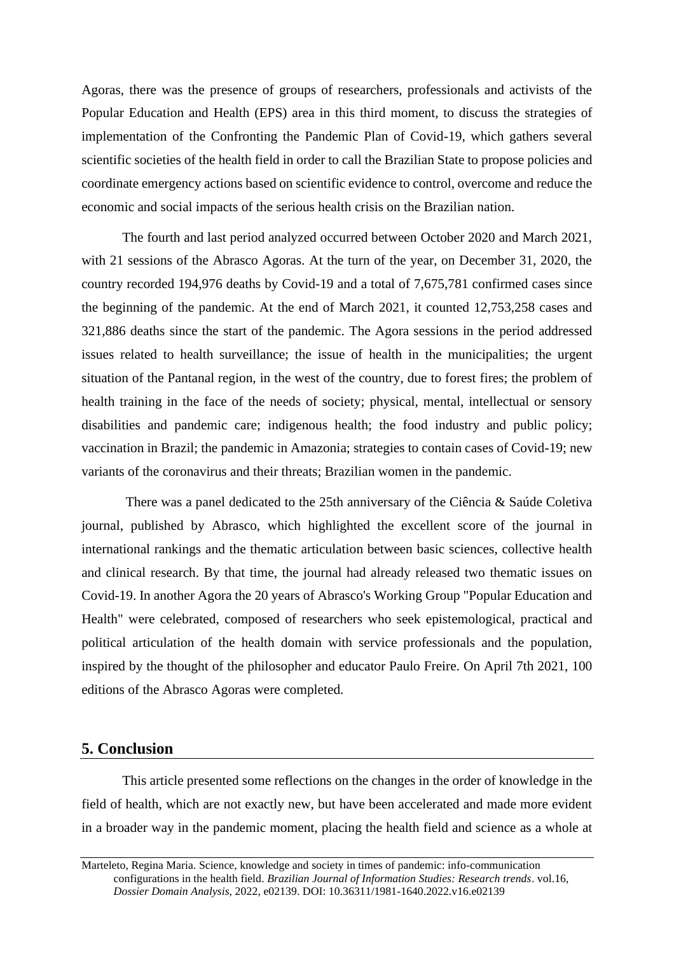Agoras, there was the presence of groups of researchers, professionals and activists of the Popular Education and Health (EPS) area in this third moment, to discuss the strategies of implementation of the Confronting the Pandemic Plan of Covid-19, which gathers several scientific societies of the health field in order to call the Brazilian State to propose policies and coordinate emergency actions based on scientific evidence to control, overcome and reduce the economic and social impacts of the serious health crisis on the Brazilian nation.

The fourth and last period analyzed occurred between October 2020 and March 2021, with 21 sessions of the Abrasco Agoras. At the turn of the year, on December 31, 2020, the country recorded 194,976 deaths by Covid-19 and a total of 7,675,781 confirmed cases since the beginning of the pandemic. At the end of March 2021, it counted 12,753,258 cases and 321,886 deaths since the start of the pandemic. The Agora sessions in the period addressed issues related to health surveillance; the issue of health in the municipalities; the urgent situation of the Pantanal region, in the west of the country, due to forest fires; the problem of health training in the face of the needs of society; physical, mental, intellectual or sensory disabilities and pandemic care; indigenous health; the food industry and public policy; vaccination in Brazil; the pandemic in Amazonia; strategies to contain cases of Covid-19; new variants of the coronavirus and their threats; Brazilian women in the pandemic.

There was a panel dedicated to the 25th anniversary of the Ciência & Saúde Coletiva journal, published by Abrasco, which highlighted the excellent score of the journal in international rankings and the thematic articulation between basic sciences, collective health and clinical research. By that time, the journal had already released two thematic issues on Covid-19. In another Agora the 20 years of Abrasco's Working Group "Popular Education and Health" were celebrated, composed of researchers who seek epistemological, practical and political articulation of the health domain with service professionals and the population, inspired by the thought of the philosopher and educator Paulo Freire. On April 7th 2021, 100 editions of the Abrasco Agoras were completed.

## **5. Conclusion**

This article presented some reflections on the changes in the order of knowledge in the field of health, which are not exactly new, but have been accelerated and made more evident in a broader way in the pandemic moment, placing the health field and science as a whole at

Marteleto, Regina Maria. Science, knowledge and society in times of pandemic: info-communication configurations in the health field. *Brazilian Journal of Information Studies: Research trends*. vol.16, *Dossier Domain Analysis*, 2022, e02139. DOI: 10.36311/1981-1640.2022.v16.e02139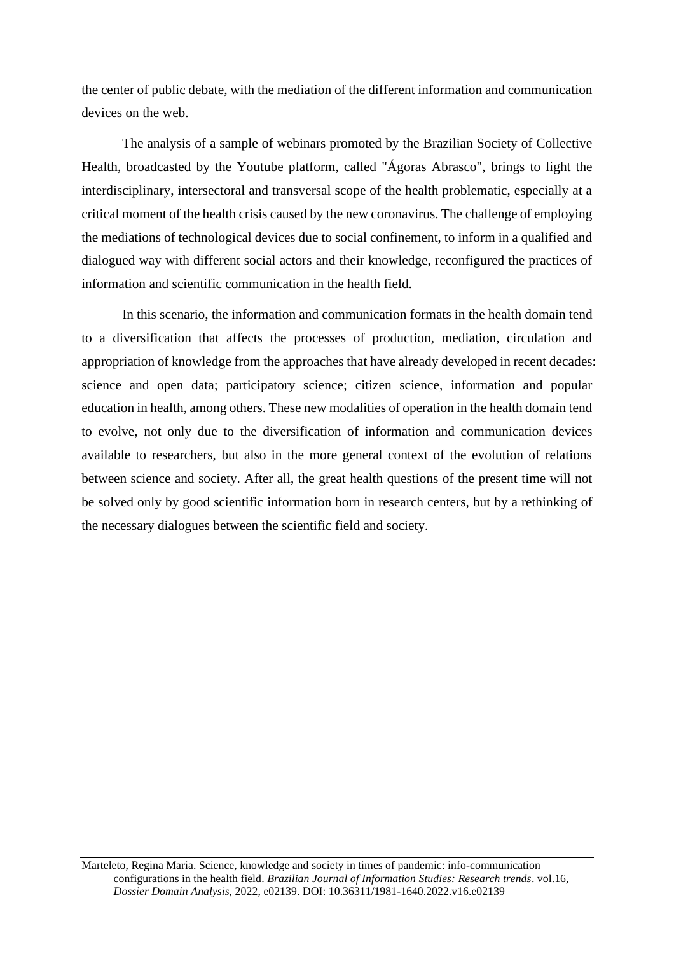the center of public debate, with the mediation of the different information and communication devices on the web.

The analysis of a sample of webinars promoted by the Brazilian Society of Collective Health, broadcasted by the Youtube platform, called "Ágoras Abrasco", brings to light the interdisciplinary, intersectoral and transversal scope of the health problematic, especially at a critical moment of the health crisis caused by the new coronavirus. The challenge of employing the mediations of technological devices due to social confinement, to inform in a qualified and dialogued way with different social actors and their knowledge, reconfigured the practices of information and scientific communication in the health field.

In this scenario, the information and communication formats in the health domain tend to a diversification that affects the processes of production, mediation, circulation and appropriation of knowledge from the approaches that have already developed in recent decades: science and open data; participatory science; citizen science, information and popular education in health, among others. These new modalities of operation in the health domain tend to evolve, not only due to the diversification of information and communication devices available to researchers, but also in the more general context of the evolution of relations between science and society. After all, the great health questions of the present time will not be solved only by good scientific information born in research centers, but by a rethinking of the necessary dialogues between the scientific field and society.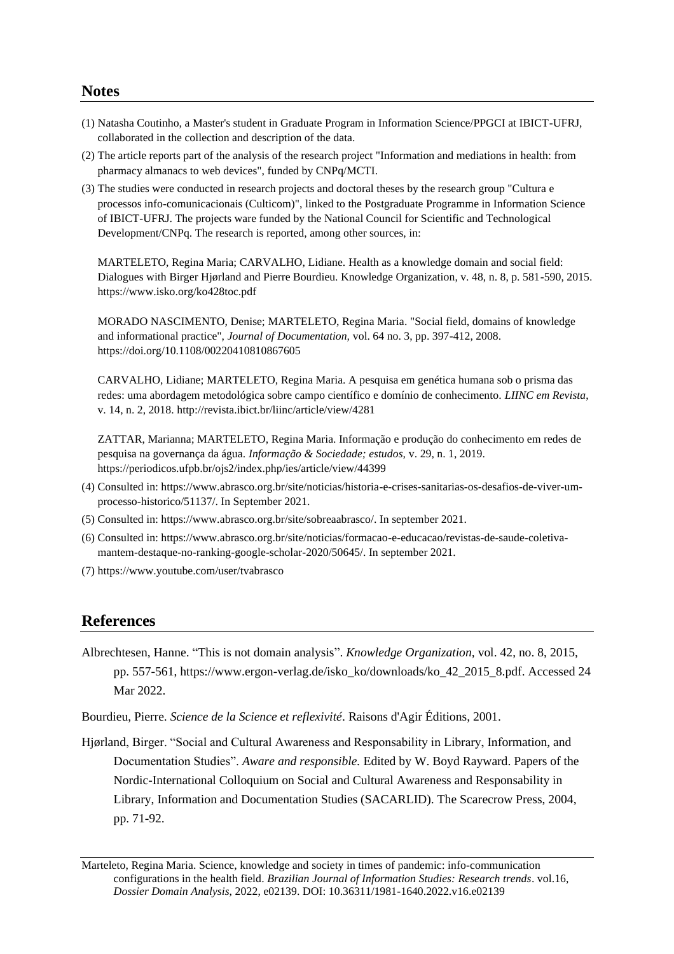## **Notes**

- (1) Natasha Coutinho, a Master's student in Graduate Program in Information Science/PPGCI at IBICT-UFRJ, collaborated in the collection and description of the data.
- (2) The article reports part of the analysis of the research project "Information and mediations in health: from pharmacy almanacs to web devices", funded by CNPq/MCTI.
- (3) The studies were conducted in research projects and doctoral theses by the research group "Cultura e processos info-comunicacionais (Culticom)", linked to the Postgraduate Programme in Information Science of IBICT-UFRJ. The projects ware funded by the National Council for Scientific and Technological Development/CNPq. The research is reported, among other sources, in:

MARTELETO, Regina Maria; CARVALHO, Lidiane. Health as a knowledge domain and social field: Dialogues with Birger Hjørland and Pierre Bourdieu. Knowledge Organization, v. 48, n. 8, p. 581-590, 2015. https://www.isko.org/ko428toc.pdf

MORADO NASCIMENTO, Denise; MARTELETO, Regina Maria. "Social field, domains of knowledge and informational practice", *Journal of Documentation,* vol. 64 no. 3, pp. 397-412, 2008. <https://doi.org/10.1108/00220410810867605>

CARVALHO, Lidiane; MARTELETO, Regina Maria. A pesquisa em genética humana sob o prisma das redes: uma abordagem metodológica sobre campo científico e domínio de conhecimento. *LIINC em Revista*, v. 14, n. 2, 2018. http://revista.ibict.br/liinc/article/view/4281

ZATTAR, Marianna; MARTELETO, Regina Maria. Informação e produção do conhecimento em redes de pesquisa na governança da água. *Informação & Sociedade; estudos,* v. 29, n. 1, 2019. https://periodicos.ufpb.br/ojs2/index.php/ies/article/view/44399

- (4) Consulted in: https://www.abrasco.org.br/site/noticias/historia-e-crises-sanitarias-os-desafios-de-viver-umprocesso-historico/51137/. In September 2021.
- (5) Consulted in: https://www.abrasco.org.br/site/sobreaabrasco/. In september 2021.
- (6) Consulted in: https://www.abrasco.org.br/site/noticias/formacao-e-educacao/revistas-de-saude-coletivamantem-destaque-no-ranking-google-scholar-2020/50645/. In september 2021.
- (7) https://www.youtube.com/user/tvabrasco

# **References**

- Albrechtesen, Hanne. "This is not domain analysis". *Knowledge Organization,* vol. 42, no. 8, 2015, pp. 557-561, https://www.ergon-verlag.de/isko\_ko/downloads/ko\_42\_2015\_8.pdf. Accessed 24 Mar 2022.
- Bourdieu, Pierre. *Science de la Science et reflexivité*. Raisons d'Agir Éditions, 2001.
- Hjørland, Birger. "Social and Cultural Awareness and Responsability in Library, Information, and Documentation Studies". *Aware and responsible.* Edited by W. Boyd Rayward. Papers of the Nordic-International Colloquium on Social and Cultural Awareness and Responsability in Library, Information and Documentation Studies (SACARLID). The Scarecrow Press, 2004, pp. 71-92.

Marteleto, Regina Maria. Science, knowledge and society in times of pandemic: info-communication configurations in the health field. *Brazilian Journal of Information Studies: Research trends*. vol.16, *Dossier Domain Analysis*, 2022, e02139. DOI: 10.36311/1981-1640.2022.v16.e02139